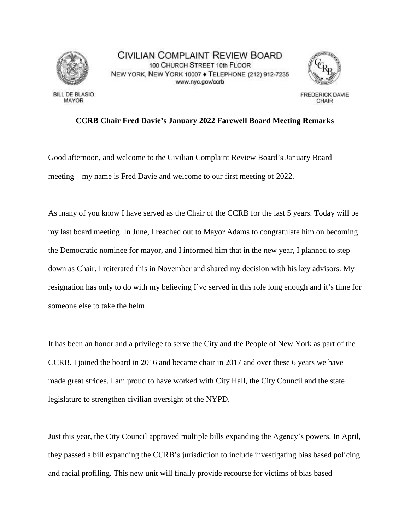

**BILL DE BLASIO** MAYOR

CIVILIAN COMPLAINT REVIEW BOARD 100 CHURCH STREET 10th FLOOR NEW YORK, NEW YORK 10007 . TELEPHONE (212) 912-7235 www.nyc.gov/ccrb



**FREDERICK DAVIE** CHAIR

## **CCRB Chair Fred Davie's January 2022 Farewell Board Meeting Remarks**

Good afternoon, and welcome to the Civilian Complaint Review Board's January Board meeting—my name is Fred Davie and welcome to our first meeting of 2022.

As many of you know I have served as the Chair of the CCRB for the last 5 years. Today will be my last board meeting. In June, I reached out to Mayor Adams to congratulate him on becoming the Democratic nominee for mayor, and I informed him that in the new year, I planned to step down as Chair. I reiterated this in November and shared my decision with his key advisors. My resignation has only to do with my believing I've served in this role long enough and it's time for someone else to take the helm.

It has been an honor and a privilege to serve the City and the People of New York as part of the CCRB. I joined the board in 2016 and became chair in 2017 and over these 6 years we have made great strides. I am proud to have worked with City Hall, the City Council and the state legislature to strengthen civilian oversight of the NYPD.

Just this year, the City Council approved multiple bills expanding the Agency's powers. In April, they passed a bill expanding the CCRB's jurisdiction to include investigating bias based policing and racial profiling. This new unit will finally provide recourse for victims of bias based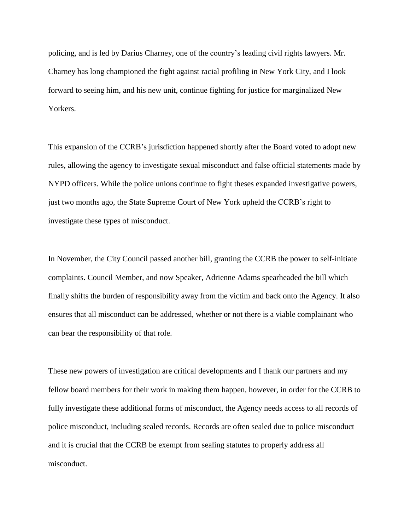policing, and is led by Darius Charney, one of the country's leading civil rights lawyers. Mr. Charney has long championed the fight against racial profiling in New York City, and I look forward to seeing him, and his new unit, continue fighting for justice for marginalized New Yorkers.

This expansion of the CCRB's jurisdiction happened shortly after the Board voted to adopt new rules, allowing the agency to investigate sexual misconduct and false official statements made by NYPD officers. While the police unions continue to fight theses expanded investigative powers, just two months ago, the State Supreme Court of New York upheld the CCRB's right to investigate these types of misconduct.

In November, the City Council passed another bill, granting the CCRB the power to self-initiate complaints. Council Member, and now Speaker, Adrienne Adams spearheaded the bill which finally shifts the burden of responsibility away from the victim and back onto the Agency. It also ensures that all misconduct can be addressed, whether or not there is a viable complainant who can bear the responsibility of that role.

These new powers of investigation are critical developments and I thank our partners and my fellow board members for their work in making them happen, however, in order for the CCRB to fully investigate these additional forms of misconduct, the Agency needs access to all records of police misconduct, including sealed records. Records are often sealed due to police misconduct and it is crucial that the CCRB be exempt from sealing statutes to properly address all misconduct.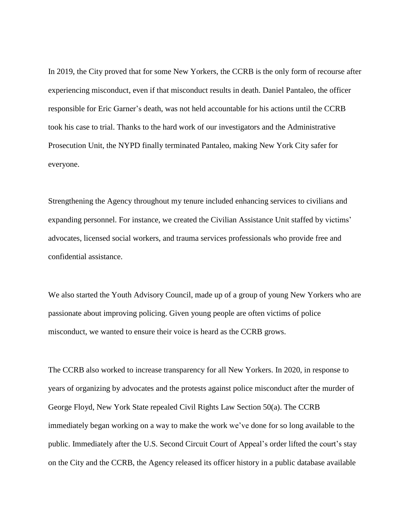In 2019, the City proved that for some New Yorkers, the CCRB is the only form of recourse after experiencing misconduct, even if that misconduct results in death. Daniel Pantaleo, the officer responsible for Eric Garner's death, was not held accountable for his actions until the CCRB took his case to trial. Thanks to the hard work of our investigators and the Administrative Prosecution Unit, the NYPD finally terminated Pantaleo, making New York City safer for everyone.

Strengthening the Agency throughout my tenure included enhancing services to civilians and expanding personnel. For instance, we created the Civilian Assistance Unit staffed by victims' advocates, licensed social workers, and trauma services professionals who provide free and confidential assistance.

We also started the Youth Advisory Council, made up of a group of young New Yorkers who are passionate about improving policing. Given young people are often victims of police misconduct, we wanted to ensure their voice is heard as the CCRB grows.

The CCRB also worked to increase transparency for all New Yorkers. In 2020, in response to years of organizing by advocates and the protests against police misconduct after the murder of George Floyd, New York State repealed Civil Rights Law Section 50(a). The CCRB immediately began working on a way to make the work we've done for so long available to the public. Immediately after the U.S. Second Circuit Court of Appeal's order lifted the court's stay on the City and the CCRB, the Agency released its officer history in a public database available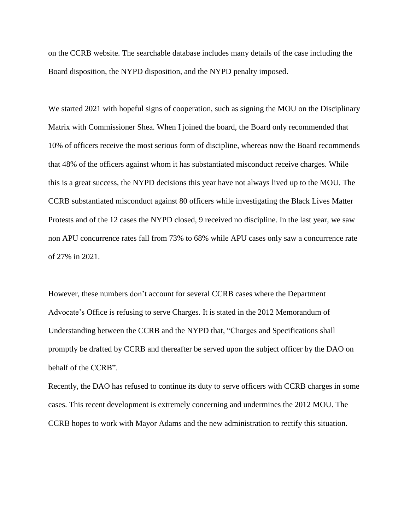on the CCRB website. The searchable database includes many details of the case including the Board disposition, the NYPD disposition, and the NYPD penalty imposed.

We started 2021 with hopeful signs of cooperation, such as signing the MOU on the Disciplinary Matrix with Commissioner Shea. When I joined the board, the Board only recommended that 10% of officers receive the most serious form of discipline, whereas now the Board recommends that 48% of the officers against whom it has substantiated misconduct receive charges. While this is a great success, the NYPD decisions this year have not always lived up to the MOU. The CCRB substantiated misconduct against 80 officers while investigating the Black Lives Matter Protests and of the 12 cases the NYPD closed, 9 received no discipline. In the last year, we saw non APU concurrence rates fall from 73% to 68% while APU cases only saw a concurrence rate of 27% in 2021.

However, these numbers don't account for several CCRB cases where the Department Advocate's Office is refusing to serve Charges. It is stated in the 2012 Memorandum of Understanding between the CCRB and the NYPD that, "Charges and Specifications shall promptly be drafted by CCRB and thereafter be served upon the subject officer by the DAO on behalf of the CCRB".

Recently, the DAO has refused to continue its duty to serve officers with CCRB charges in some cases. This recent development is extremely concerning and undermines the 2012 MOU. The CCRB hopes to work with Mayor Adams and the new administration to rectify this situation.